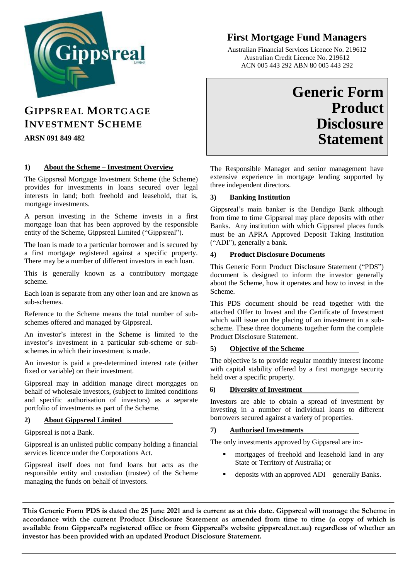

# **First Mortgage Fund Managers**

Australian Financial Services Licence No. 219612 Australian Credit Licence No. 219612 ACN 005 443 292 ABN 80 005 443 292

# **GIPPSREAL MORTGAGE INVESTMENT SCHEME**

**ARSN 091 849 482**

### **1) About the Scheme – Investment Overview**

The Gippsreal Mortgage Investment Scheme (the Scheme) provides for investments in loans secured over legal interests in land; both freehold and leasehold, that is, mortgage investments.

A person investing in the Scheme invests in a first mortgage loan that has been approved by the responsible entity of the Scheme, Gippsreal Limited ("Gippsreal").

The loan is made to a particular borrower and is secured by a first mortgage registered against a specific property. There may be a number of different investors in each loan.

This is generally known as a contributory mortgage scheme.

Each loan is separate from any other loan and are known as sub-schemes.

Reference to the Scheme means the total number of subschemes offered and managed by Gippsreal.

An investor's interest in the Scheme is limited to the investor's investment in a particular sub-scheme or subschemes in which their investment is made.

An investor is paid a pre-determined interest rate (either fixed or variable) on their investment.

Gippsreal may in addition manage direct mortgages on behalf of wholesale investors, (subject to limited conditions and specific authorisation of investors) as a separate portfolio of investments as part of the Scheme.

#### **2) About Gippsreal Limited**

Gippsreal is not a Bank.

Gippsreal is an unlisted public company holding a financial services licence under the Corporations Act.

Gippsreal itself does not fund loans but acts as the responsible entity and custodian (trustee) of the Scheme managing the funds on behalf of investors.

# **Generic Form Product Disclosure Statement**

The Responsible Manager and senior management have extensive experience in mortgage lending supported by three independent directors.

#### **3) Banking Institution**

Gippsreal's main banker is the Bendigo Bank although from time to time Gippsreal may place deposits with other Banks. Any institution with which Gippsreal places funds must be an APRA Approved Deposit Taking Institution ("ADI"), generally a bank.

#### **4) Product Disclosure Documents**

This Generic Form Product Disclosure Statement ("PDS") document is designed to inform the investor generally about the Scheme, how it operates and how to invest in the Scheme.

This PDS document should be read together with the attached Offer to Invest and the Certificate of Investment which will issue on the placing of an investment in a subscheme. These three documents together form the complete Product Disclosure Statement.

#### **5) Objective of the Scheme**

The objective is to provide regular monthly interest income with capital stability offered by a first mortgage security held over a specific property.

#### **6) Diversity of Investment**

Investors are able to obtain a spread of investment by investing in a number of individual loans to different borrowers secured against a variety of properties.

#### **7) Authorised Investments**

The only investments approved by Gippsreal are in:-

- mortgages of freehold and leasehold land in any State or Territory of Australia; or
- deposits with an approved ADI generally Banks.

**\_\_\_\_ \_\_\_\_\_\_\_\_\_**

**This Generic Form PDS is dated the 25 June 2021 and is current as at this date. Gippsreal will manage the Scheme in accordance with the current Product Disclosure Statement as amended from time to time (a copy of which is available from Gippsreal's registered office or from Gippsreal's website gippsreal.net.au) regardless of whether an investor has been provided with an updated Product Disclosure Statement.**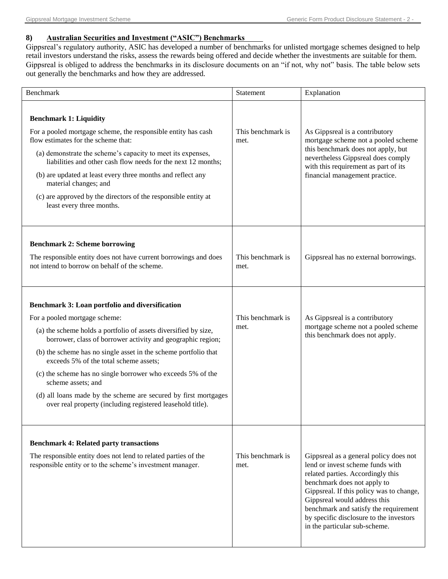#### **8) Australian Securities and Investment ("ASIC") Benchmarks**

Gippsreal's regulatory authority, ASIC has developed a number of benchmarks for unlisted mortgage schemes designed to help retail investors understand the risks, assess the rewards being offered and decide whether the investments are suitable for them. Gippsreal is obliged to address the benchmarks in its disclosure documents on an "if not, why not" basis. The table below sets out generally the benchmarks and how they are addressed.

| <b>Benchmark</b>                                                                                                                                                                                                                                                                                                                                                                                                                                                                                                                                      | Statement                 | Explanation                                                                                                                                                                                                                                                                                                                                     |
|-------------------------------------------------------------------------------------------------------------------------------------------------------------------------------------------------------------------------------------------------------------------------------------------------------------------------------------------------------------------------------------------------------------------------------------------------------------------------------------------------------------------------------------------------------|---------------------------|-------------------------------------------------------------------------------------------------------------------------------------------------------------------------------------------------------------------------------------------------------------------------------------------------------------------------------------------------|
| <b>Benchmark 1: Liquidity</b><br>For a pooled mortgage scheme, the responsible entity has cash<br>flow estimates for the scheme that:<br>(a) demonstrate the scheme's capacity to meet its expenses,<br>liabilities and other cash flow needs for the next 12 months;<br>(b) are updated at least every three months and reflect any<br>material changes; and<br>(c) are approved by the directors of the responsible entity at<br>least every three months.                                                                                          | This benchmark is<br>met. | As Gippsreal is a contributory<br>mortgage scheme not a pooled scheme<br>this benchmark does not apply, but<br>nevertheless Gippsreal does comply<br>with this requirement as part of its<br>financial management practice.                                                                                                                     |
| <b>Benchmark 2: Scheme borrowing</b><br>The responsible entity does not have current borrowings and does<br>not intend to borrow on behalf of the scheme.                                                                                                                                                                                                                                                                                                                                                                                             | This benchmark is<br>met. | Gippsreal has no external borrowings.                                                                                                                                                                                                                                                                                                           |
| Benchmark 3: Loan portfolio and diversification<br>For a pooled mortgage scheme:<br>(a) the scheme holds a portfolio of assets diversified by size,<br>borrower, class of borrower activity and geographic region;<br>(b) the scheme has no single asset in the scheme portfolio that<br>exceeds 5% of the total scheme assets;<br>(c) the scheme has no single borrower who exceeds 5% of the<br>scheme assets; and<br>(d) all loans made by the scheme are secured by first mortgages<br>over real property (including registered leasehold title). | This benchmark is<br>met. | As Gippsreal is a contributory<br>mortgage scheme not a pooled scheme<br>this benchmark does not apply.                                                                                                                                                                                                                                         |
| <b>Benchmark 4: Related party transactions</b><br>The responsible entity does not lend to related parties of the<br>responsible entity or to the scheme's investment manager.                                                                                                                                                                                                                                                                                                                                                                         | This benchmark is<br>met. | Gippsreal as a general policy does not<br>lend or invest scheme funds with<br>related parties. Accordingly this<br>benchmark does not apply to<br>Gippsreal. If this policy was to change,<br>Gippsreal would address this<br>benchmark and satisfy the requirement<br>by specific disclosure to the investors<br>in the particular sub-scheme. |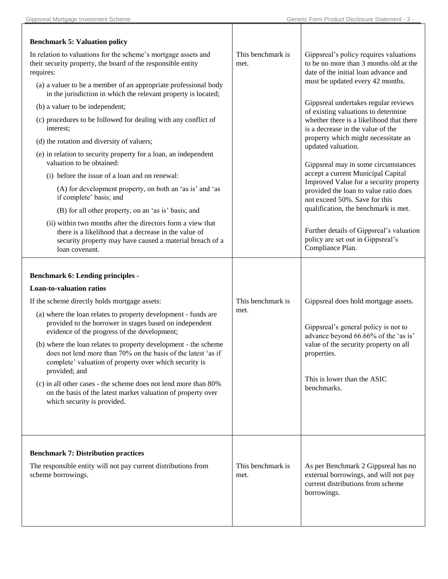| <b>Benchmark 5: Valuation policy</b>                                                                                                                                                                        |                           |                                                                                                                                  |
|-------------------------------------------------------------------------------------------------------------------------------------------------------------------------------------------------------------|---------------------------|----------------------------------------------------------------------------------------------------------------------------------|
| In relation to valuations for the scheme's mortgage assets and<br>their security property, the board of the responsible entity<br>requires:                                                                 | This benchmark is<br>met. | Gippsreal's policy requires valuations<br>to be no more than 3 months old at the<br>date of the initial loan advance and         |
| (a) a valuer to be a member of an appropriate professional body<br>in the jurisdiction in which the relevant property is located;                                                                           |                           | must be updated every 42 months.                                                                                                 |
| (b) a valuer to be independent;                                                                                                                                                                             |                           | Gippsreal undertakes regular reviews<br>of existing valuations to determine                                                      |
| (c) procedures to be followed for dealing with any conflict of<br>interest;                                                                                                                                 |                           | whether there is a likelihood that there<br>is a decrease in the value of the                                                    |
| (d) the rotation and diversity of valuers;                                                                                                                                                                  |                           | property which might necessitate an<br>updated valuation.                                                                        |
| (e) in relation to security property for a loan, an independent<br>valuation to be obtained:                                                                                                                |                           | Gippsreal may in some circumstances                                                                                              |
| (i) before the issue of a loan and on renewal:                                                                                                                                                              |                           | accept a current Municipal Capital                                                                                               |
| (A) for development property, on both an 'as is' and 'as<br>if complete' basis; and                                                                                                                         |                           | Improved Value for a security property<br>provided the loan to value ratio does<br>not exceed 50%. Save for this                 |
| (B) for all other property, on an 'as is' basis; and                                                                                                                                                        |                           | qualification, the benchmark is met.                                                                                             |
| (ii) within two months after the directors form a view that<br>there is a likelihood that a decrease in the value of<br>security property may have caused a material breach of a<br>loan covenant.          |                           | Further details of Gippsreal's valuation<br>policy are set out in Gippsreal's<br>Compliance Plan.                                |
| <b>Benchmark 6: Lending principles -</b><br><b>Loan-to-valuation ratios</b>                                                                                                                                 |                           |                                                                                                                                  |
| If the scheme directly holds mortgage assets:                                                                                                                                                               | This benchmark is         | Gippsreal does hold mortgage assets.                                                                                             |
| (a) where the loan relates to property development - funds are<br>provided to the borrower in stages based on independent<br>evidence of the progress of the development;                                   | met.                      | Gippsreal's general policy is not to<br>advance beyond 66.66% of the 'as is'                                                     |
| (b) where the loan relates to property development - the scheme<br>does not lend more than 70% on the basis of the latest 'as if<br>complete' valuation of property over which security is<br>provided; and |                           | value of the security property on all<br>properties.                                                                             |
| (c) in all other cases - the scheme does not lend more than 80%<br>on the basis of the latest market valuation of property over<br>which security is provided.                                              |                           | This is lower than the ASIC<br>benchmarks.                                                                                       |
|                                                                                                                                                                                                             |                           |                                                                                                                                  |
| <b>Benchmark 7: Distribution practices</b>                                                                                                                                                                  |                           |                                                                                                                                  |
| The responsible entity will not pay current distributions from<br>scheme borrowings.                                                                                                                        | This benchmark is<br>met. | As per Benchmark 2 Gippsreal has no<br>external borrowings, and will not pay<br>current distributions from scheme<br>borrowings. |
|                                                                                                                                                                                                             |                           |                                                                                                                                  |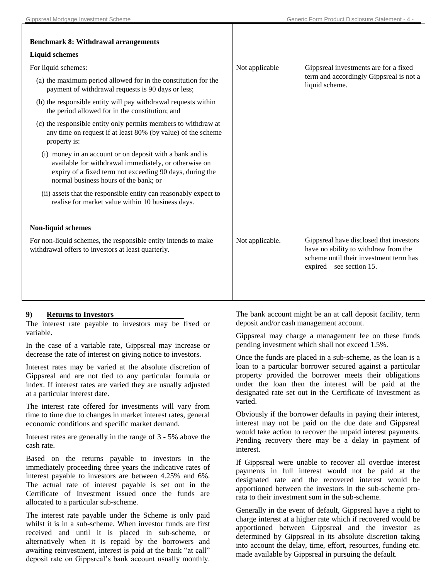| <b>Benchmark 8: Withdrawal arrangements</b>                                                                                                                                                                            |                 |                                                                                                                                                          |
|------------------------------------------------------------------------------------------------------------------------------------------------------------------------------------------------------------------------|-----------------|----------------------------------------------------------------------------------------------------------------------------------------------------------|
| <b>Liquid schemes</b>                                                                                                                                                                                                  |                 |                                                                                                                                                          |
| For liquid schemes:                                                                                                                                                                                                    | Not applicable  | Gippsreal investments are for a fixed                                                                                                                    |
| (a) the maximum period allowed for in the constitution for the<br>payment of withdrawal requests is 90 days or less;                                                                                                   |                 | term and accordingly Gippsreal is not a<br>liquid scheme.                                                                                                |
| (b) the responsible entity will pay withdrawal requests within<br>the period allowed for in the constitution; and                                                                                                      |                 |                                                                                                                                                          |
| (c) the responsible entity only permits members to withdraw at<br>any time on request if at least 80% (by value) of the scheme<br>property is:                                                                         |                 |                                                                                                                                                          |
| (i) money in an account or on deposit with a bank and is<br>available for withdrawal immediately, or otherwise on<br>expiry of a fixed term not exceeding 90 days, during the<br>normal business hours of the bank; or |                 |                                                                                                                                                          |
| (ii) assets that the responsible entity can reasonably expect to<br>realise for market value within 10 business days.                                                                                                  |                 |                                                                                                                                                          |
| Non-liquid schemes                                                                                                                                                                                                     |                 |                                                                                                                                                          |
| For non-liquid schemes, the responsible entity intends to make<br>withdrawal offers to investors at least quarterly.                                                                                                   | Not applicable. | Gippsreal have disclosed that investors<br>have no ability to withdraw from the<br>scheme until their investment term has<br>expired $-$ see section 15. |

#### **9) Returns to Investors**

The interest rate payable to investors may be fixed or variable.

In the case of a variable rate, Gippsreal may increase or decrease the rate of interest on giving notice to investors.

Interest rates may be varied at the absolute discretion of Gippsreal and are not tied to any particular formula or index. If interest rates are varied they are usually adjusted at a particular interest date.

The interest rate offered for investments will vary from time to time due to changes in market interest rates, general economic conditions and specific market demand.

Interest rates are generally in the range of 3 - 5% above the cash rate.

Based on the returns payable to investors in the immediately proceeding three years the indicative rates of interest payable to investors are between 4.25% and 6%. The actual rate of interest payable is set out in the Certificate of Investment issued once the funds are allocated to a particular sub-scheme.

The interest rate payable under the Scheme is only paid whilst it is in a sub-scheme. When investor funds are first received and until it is placed in sub-scheme, or alternatively when it is repaid by the borrowers and awaiting reinvestment, interest is paid at the bank "at call" deposit rate on Gippsreal's bank account usually monthly.

The bank account might be an at call deposit facility, term deposit and/or cash management account.

Gippsreal may charge a management fee on these funds pending investment which shall not exceed 1.5%.

Once the funds are placed in a sub-scheme, as the loan is a loan to a particular borrower secured against a particular property provided the borrower meets their obligations under the loan then the interest will be paid at the designated rate set out in the Certificate of Investment as varied.

Obviously if the borrower defaults in paying their interest, interest may not be paid on the due date and Gippsreal would take action to recover the unpaid interest payments. Pending recovery there may be a delay in payment of interest.

If Gippsreal were unable to recover all overdue interest payments in full interest would not be paid at the designated rate and the recovered interest would be apportioned between the investors in the sub-scheme prorata to their investment sum in the sub-scheme.

Generally in the event of default, Gippsreal have a right to charge interest at a higher rate which if recovered would be apportioned between Gippsreal and the investor as determined by Gippsreal in its absolute discretion taking into account the delay, time, effort, resources, funding etc. made available by Gippsreal in pursuing the default.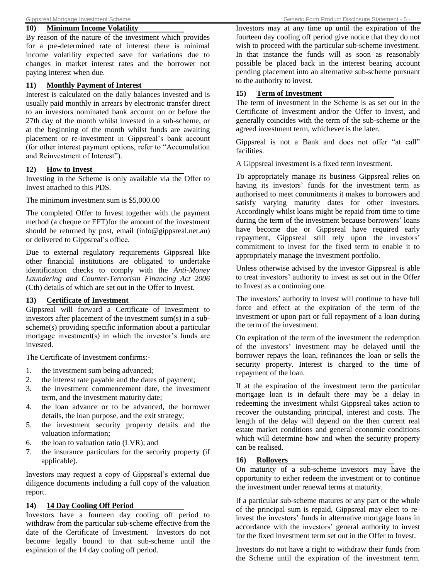#### **10) Minimum Income Volatility**

By reason of the nature of the investment which provides for a pre-determined rate of interest there is minimal income volatility expected save for variations due to changes in market interest rates and the borrower not paying interest when due.

#### **11) Monthly Payment of Interest**

Interest is calculated on the daily balances invested and is usually paid monthly in arrears by electronic transfer direct to an investors nominated bank account on or before the 27th day of the month whilst invested in a sub-scheme, or at the beginning of the month whilst funds are awaiting placement or re-investment in Gippsreal's bank account (for other interest payment options, refer to "Accumulation and Reinvestment of Interest").

#### **12) How to Invest**

Investing in the Scheme is only available via the Offer to Invest attached to this PDS.

The minimum investment sum is \$5,000.00

The completed Offer to Invest together with the payment method (a cheque or EFT)for the amount of the investment should be returned by post, email (info@gippsreal.net.au) or delivered to Gippsreal's office.

Due to external regulatory requirements Gippsreal like other financial institutions are obligated to undertake identification checks to comply with the *Anti-Money Laundering and Counter-Terrorism Financing Act 2006* (Cth) details of which are set out in the Offer to Invest.

#### **13) Certificate of Investment**

Gippsreal will forward a Certificate of Investment to investors after placement of the investment sum(s) in a subscheme(s) providing specific information about a particular mortgage investment(s) in which the investor's funds are invested.

The Certificate of Investment confirms:-

- 1. the investment sum being advanced;
- 2. the interest rate payable and the dates of payment;
- 3. the investment commencement date, the investment term, and the investment maturity date;
- 4. the loan advance or to be advanced, the borrower details, the loan purpose, and the exit strategy;
- 5. the investment security property details and the valuation information;
- 6. the loan to valuation ratio (LVR); and
- 7. the insurance particulars for the security property (if applicable).

Investors may request a copy of Gippsreal's external due diligence documents including a full copy of the valuation report.

#### **14) 14 Day Cooling Off Period**

Investors have a fourteen day cooling off period to withdraw from the particular sub-scheme effective from the date of the Certificate of Investment. Investors do not become legally bound to that sub-scheme until the expiration of the 14 day cooling off period.

Investors may at any time up until the expiration of the fourteen day cooling off period give notice that they do not wish to proceed with the particular sub-scheme investment. In that instance the funds will as soon as reasonably possible be placed back in the interest bearing account pending placement into an alternative sub-scheme pursuant to the authority to invest.

#### **15) Term of Investment**

The term of investment in the Scheme is as set out in the Certificate of Investment and/or the Offer to Invest, and generally coincides with the term of the sub-scheme or the agreed investment term, whichever is the later.

Gippsreal is not a Bank and does not offer "at call" facilities.

A Gippsreal investment is a fixed term investment.

To appropriately manage its business Gippsreal relies on having its investors' funds for the investment term as authorised to meet commitments it makes to borrowers and satisfy varying maturity dates for other investors. Accordingly whilst loans might be repaid from time to time during the term of the investment because borrowers' loans have become due or Gippsreal have required early repayment, Gippsreal still rely upon the investors' commitment to invest for the fixed term to enable it to appropriately manage the investment portfolio.

Unless otherwise advised by the investor Gippsreal is able to treat investors' authority to invest as set out in the Offer to Invest as a continuing one.

The investors' authority to invest will continue to have full force and effect at the expiration of the term of the investment or upon part or full repayment of a loan during the term of the investment.

On expiration of the term of the investment the redemption of the investors' investment may be delayed until the borrower repays the loan, refinances the loan or sells the security property. Interest is charged to the time of repayment of the loan.

If at the expiration of the investment term the particular mortgage loan is in default there may be a delay in redeeming the investment whilst Gippsreal takes action to recover the outstanding principal, interest and costs. The length of the delay will depend on the then current real estate market conditions and general economic conditions which will determine how and when the security property can be realised.

#### **16) Rollovers**

On maturity of a sub-scheme investors may have the opportunity to either redeem the investment or to continue the investment under renewal terms at maturity.

If a particular sub-scheme matures or any part or the whole of the principal sum is repaid, Gippsreal may elect to reinvest the investors' funds in alternative mortgage loans in accordance with the investors' general authority to invest for the fixed investment term set out in the Offer to Invest.

Investors do not have a right to withdraw their funds from the Scheme until the expiration of the investment term.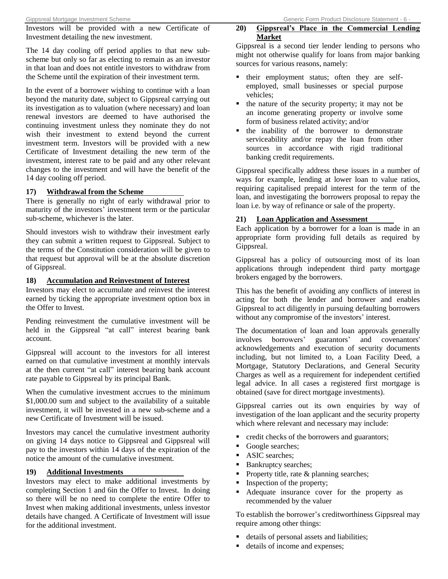Investors will be provided with a new Certificate of Investment detailing the new investment.

The 14 day cooling off period applies to that new subscheme but only so far as electing to remain as an investor in that loan and does not entitle investors to withdraw from the Scheme until the expiration of their investment term.

In the event of a borrower wishing to continue with a loan beyond the maturity date, subject to Gippsreal carrying out its investigation as to valuation (where necessary) and loan renewal investors are deemed to have authorised the continuing investment unless they nominate they do not wish their investment to extend beyond the current investment term. Investors will be provided with a new Certificate of Investment detailing the new term of the investment, interest rate to be paid and any other relevant changes to the investment and will have the benefit of the 14 day cooling off period.

#### **17) Withdrawal from the Scheme**

There is generally no right of early withdrawal prior to maturity of the investors' investment term or the particular sub-scheme, whichever is the later.

Should investors wish to withdraw their investment early they can submit a written request to Gippsreal. Subject to the terms of the Constitution consideration will be given to that request but approval will be at the absolute discretion of Gippsreal.

#### **18) Accumulation and Reinvestment of Interest**

Investors may elect to accumulate and reinvest the interest earned by ticking the appropriate investment option box in the Offer to Invest.

Pending reinvestment the cumulative investment will be held in the Gippsreal "at call" interest bearing bank account.

Gippsreal will account to the investors for all interest earned on that cumulative investment at monthly intervals at the then current "at call" interest bearing bank account rate payable to Gippsreal by its principal Bank.

When the cumulative investment accrues to the minimum \$1,000.00 sum and subject to the availability of a suitable investment, it will be invested in a new sub-scheme and a new Certificate of Investment will be issued.

Investors may cancel the cumulative investment authority on giving 14 days notice to Gippsreal and Gippsreal will pay to the investors within 14 days of the expiration of the notice the amount of the cumulative investment.

#### **19) Additional Investments**

Investors may elect to make additional investments by completing Section 1 and 6in the Offer to Invest. In doing so there will be no need to complete the entire Offer to Invest when making additional investments, unless investor details have changed. A Certificate of Investment will issue for the additional investment.

#### **20) Gippsreal's Place in the Commercial Lending Market**

Gippsreal is a second tier lender lending to persons who might not otherwise qualify for loans from major banking sources for various reasons, namely:

- their employment status; often they are selfemployed, small businesses or special purpose vehicles;
- $\blacksquare$  the nature of the security property; it may not be an income generating property or involve some form of business related activity; and/or
- **the inability of the borrower to demonstrate** serviceability and/or repay the loan from other sources in accordance with rigid traditional banking credit requirements.

Gippsreal specifically address these issues in a number of ways for example, lending at lower loan to value ratios, requiring capitalised prepaid interest for the term of the loan, and investigating the borrowers proposal to repay the loan i.e. by way of refinance or sale of the property.

#### **21) Loan Application and Assessment**

Each application by a borrower for a loan is made in an appropriate form providing full details as required by Gippsreal.

Gippsreal has a policy of outsourcing most of its loan applications through independent third party mortgage brokers engaged by the borrowers.

This has the benefit of avoiding any conflicts of interest in acting for both the lender and borrower and enables Gippsreal to act diligently in pursuing defaulting borrowers without any compromise of the investors' interest.

The documentation of loan and loan approvals generally involves borrowers' guarantors' and covenantors' acknowledgements and execution of security documents including, but not limited to, a Loan Facility Deed, a Mortgage, Statutory Declarations, and General Security Charges as well as a requirement for independent certified legal advice. In all cases a registered first mortgage is obtained (save for direct mortgage investments).

Gippsreal carries out its own enquiries by way of investigation of the loan applicant and the security property which where relevant and necessary may include:

- credit checks of the borrowers and guarantors;
- Google searches;
- ASIC searches;
- Bankruptcy searches;
- **Property title, rate & planning searches;**
- Inspection of the property;
- Adequate insurance cover for the property as recommended by the valuer

To establish the borrower's creditworthiness Gippsreal may require among other things:

- details of personal assets and liabilities;
- details of income and expenses;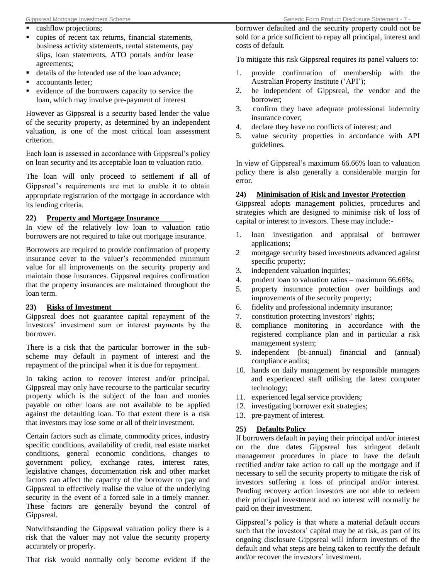- cashflow projections;
- copies of recent tax returns, financial statements, business activity statements, rental statements, pay slips, loan statements, ATO portals and/or lease agreements;
- details of the intended use of the loan advance;
- accountants letter;
- evidence of the borrowers capacity to service the loan, which may involve pre-payment of interest

However as Gippsreal is a security based lender the value of the security property, as determined by an independent valuation, is one of the most critical loan assessment criterion.

Each loan is assessed in accordance with Gippsreal's policy on loan security and its acceptable loan to valuation ratio.

The loan will only proceed to settlement if all of Gippsreal's requirements are met to enable it to obtain appropriate registration of the mortgage in accordance with its lending criteria.

### **22) Property and Mortgage Insurance**

In view of the relatively low loan to valuation ratio borrowers are not required to take out mortgage insurance.

Borrowers are required to provide confirmation of property insurance cover to the valuer's recommended minimum value for all improvements on the security property and maintain those insurances. Gippsreal requires confirmation that the property insurances are maintained throughout the loan term.

### **23) Risks of Investment**

Gippsreal does not guarantee capital repayment of the investors' investment sum or interest payments by the borrower.

There is a risk that the particular borrower in the subscheme may default in payment of interest and the repayment of the principal when it is due for repayment.

In taking action to recover interest and/or principal, Gippsreal may only have recourse to the particular security property which is the subject of the loan and monies payable on other loans are not available to be applied against the defaulting loan. To that extent there is a risk that investors may lose some or all of their investment.

Certain factors such as climate, commodity prices, industry specific conditions, availability of credit, real estate market conditions, general economic conditions, changes to government policy, exchange rates, interest rates, legislative changes, documentation risk and other market factors can affect the capacity of the borrower to pay and Gippsreal to effectively realise the value of the underlying security in the event of a forced sale in a timely manner. These factors are generally beyond the control of Gippsreal.

Notwithstanding the Gippsreal valuation policy there is a risk that the valuer may not value the security property accurately or properly.

That risk would normally only become evident if the

borrower defaulted and the security property could not be sold for a price sufficient to repay all principal, interest and costs of default.

To mitigate this risk Gippsreal requires its panel valuers to:

- 1. provide confirmation of membership with the Australian Property Institute ('API');
- 2. be independent of Gippsreal, the vendor and the borrower;
- 3. confirm they have adequate professional indemnity insurance cover;
- 4. declare they have no conflicts of interest; and
- 5. value security properties in accordance with API guidelines.

In view of Gippsreal's maximum 66.66% loan to valuation policy there is also generally a considerable margin for error.

# **24) Minimisation of Risk and Investor Protection**

Gippsreal adopts management policies, procedures and strategies which are designed to minimise risk of loss of capital or interest to investors. These may include:-

- 1. loan investigation and appraisal of borrower applications;
- 2 mortgage security based investments advanced against specific property;
- 3. independent valuation inquiries;
- 4. prudent loan to valuation ratios maximum 66.66%;
- 5. property insurance protection over buildings and improvements of the security property;
- 6. fidelity and professional indemnity insurance;
- 7. constitution protecting investors' rights;
- 8. compliance monitoring in accordance with the registered compliance plan and in particular a risk management system;
- 9. independent (bi-annual) financial and (annual) compliance audits;
- 10. hands on daily management by responsible managers and experienced staff utilising the latest computer technology;
- 11. experienced legal service providers;
- 12. investigating borrower exit strategies;
- 13. pre-payment of interest.

### **25) Defaults Policy**

If borrowers default in paying their principal and/or interest on the due dates Gippsreal has stringent default management procedures in place to have the default rectified and/or take action to call up the mortgage and if necessary to sell the security property to mitigate the risk of investors suffering a loss of principal and/or interest. Pending recovery action investors are not able to redeem their principal investment and no interest will normally be paid on their investment.

Gippsreal's policy is that where a material default occurs such that the investors' capital may be at risk, as part of its ongoing disclosure Gippsreal will inform investors of the default and what steps are being taken to rectify the default and/or recover the investors' investment.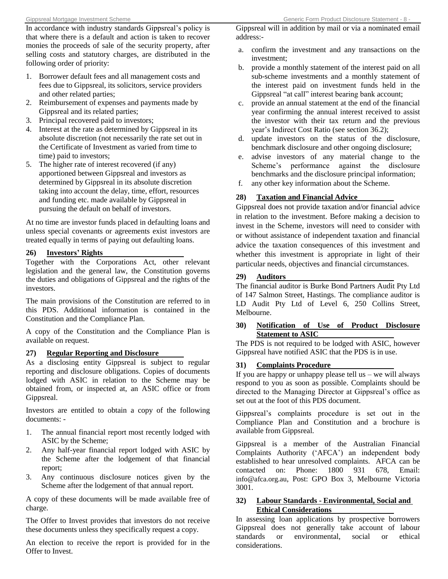In accordance with industry standards Gippsreal's policy is that where there is a default and action is taken to recover monies the proceeds of sale of the security property, after selling costs and statutory charges, are distributed in the following order of priority:

- 1. Borrower default fees and all management costs and fees due to Gippsreal, its solicitors, service providers and other related parties;
- 2. Reimbursement of expenses and payments made by Gippsreal and its related parties;
- 3. Principal recovered paid to investors;
- 4. Interest at the rate as determined by Gippsreal in its absolute discretion (not necessarily the rate set out in the Certificate of Investment as varied from time to time) paid to investors;
- 5. The higher rate of interest recovered (if any) apportioned between Gippsreal and investors as determined by Gippsreal in its absolute discretion taking into account the delay, time, effort, resources and funding etc. made available by Gippsreal in pursuing the default on behalf of investors.

At no time are investor funds placed in defaulting loans and unless special covenants or agreements exist investors are treated equally in terms of paying out defaulting loans.

#### **26) Investors' Rights**

Together with the Corporations Act, other relevant legislation and the general law, the Constitution governs the duties and obligations of Gippsreal and the rights of the investors.

The main provisions of the Constitution are referred to in this PDS. Additional information is contained in the Constitution and the Compliance Plan.

A copy of the Constitution and the Compliance Plan is available on request.

#### **27) Regular Reporting and Disclosure**

As a disclosing entity Gippsreal is subject to regular reporting and disclosure obligations. Copies of documents lodged with ASIC in relation to the Scheme may be obtained from, or inspected at, an ASIC office or from Gippsreal.

Investors are entitled to obtain a copy of the following documents: -

- 1. The annual financial report most recently lodged with ASIC by the Scheme;
- 2. Any half-year financial report lodged with ASIC by the Scheme after the lodgement of that financial report;
- 3. Any continuous disclosure notices given by the Scheme after the lodgement of that annual report.

A copy of these documents will be made available free of charge.

The Offer to Invest provides that investors do not receive these documents unless they specifically request a copy.

An election to receive the report is provided for in the Offer to Invest.

Gippsreal will in addition by mail or via a nominated email address:-

- a. confirm the investment and any transactions on the investment;
- b. provide a monthly statement of the interest paid on all sub-scheme investments and a monthly statement of the interest paid on investment funds held in the Gippsreal "at call" interest bearing bank account;
- c. provide an annual statement at the end of the financial year confirming the annual interest received to assist the investor with their tax return and the previous year's Indirect Cost Ratio (see section 36.2);
- d. update investors on the status of the disclosure, benchmark disclosure and other ongoing disclosure;
- e. advise investors of any material change to the Scheme's performance against the disclosure benchmarks and the disclosure principal information;
- f. any other key information about the Scheme.

# **28) Taxation and Financial Advice**

Gippsreal does not provide taxation and/or financial advice in relation to the investment. Before making a decision to invest in the Scheme, investors will need to consider with or without assistance of independent taxation and financial advice the taxation consequences of this investment and whether this investment is appropriate in light of their particular needs, objectives and financial circumstances.

#### **29) Auditors**

The financial auditor is Burke Bond Partners Audit Pty Ltd of 147 Salmon Street, Hastings. The compliance auditor is LD Audit Pty Ltd of Level 6, 250 Collins Street, Melbourne.

#### **30) Notification of Use of Product Disclosure Statement to ASIC**

The PDS is not required to be lodged with ASIC, however Gippsreal have notified ASIC that the PDS is in use.

#### **31) Complaints Procedure**

If you are happy or unhappy please tell us – we will always respond to you as soon as possible. Complaints should be directed to the Managing Director at Gippsreal's office as set out at the foot of this PDS document.

Gippsreal's complaints procedure is set out in the Compliance Plan and Constitution and a brochure is available from Gippsreal.

Gippsreal is a member of the Australian Financial Complaints Authority ('AFCA') an independent body established to hear unresolved complaints. AFCA can be contacted on: Phone: 1800 931 678, Email: [info@afca.org.au](mailto:info@afca.org.au), Post: GPO Box 3, Melbourne Victoria 3001.

#### **32) Labour Standards - Environmental, Social and Ethical Considerations**

In assessing loan applications by prospective borrowers Gippsreal does not generally take account of labour standards or environmental, social or ethical considerations.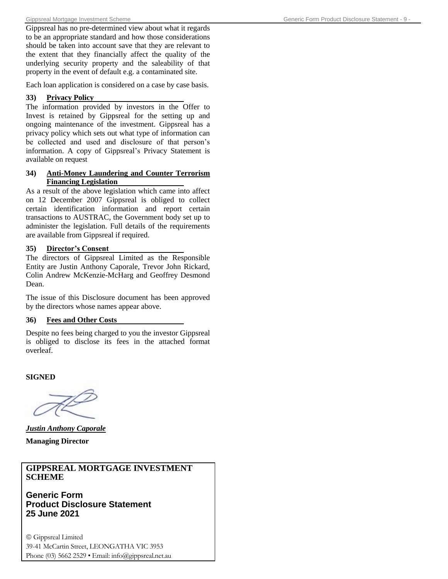Gippsreal has no pre-determined view about what it regards to be an appropriate standard and how those considerations should be taken into account save that they are relevant to the extent that they financially affect the quality of the underlying security property and the saleability of that property in the event of default e.g. a contaminated site.

Each loan application is considered on a case by case basis.

#### **33) Privacy Policy**

The information provided by investors in the Offer to Invest is retained by Gippsreal for the setting up and ongoing maintenance of the investment. Gippsreal has a privacy policy which sets out what type of information can be collected and used and disclosure of that person's information. A copy of Gippsreal's Privacy Statement is available on request

#### **34) Anti-Money Laundering and Counter Terrorism Financing Legislation**

As a result of the above legislation which came into affect on 12 December 2007 Gippsreal is obliged to collect certain identification information and report certain transactions to AUSTRAC, the Government body set up to administer the legislation. Full details of the requirements are available from Gippsreal if required.

#### **35) Director's Consent**

The directors of Gippsreal Limited as the Responsible Entity are Justin Anthony Caporale, Trevor John Rickard, Colin Andrew McKenzie-McHarg and Geoffrey Desmond Dean.

The issue of this Disclosure document has been approved by the directors whose names appear above.

#### **36) Fees and Other Costs**

Despite no fees being charged to you the investor Gippsreal is obliged to disclose its fees in the attached format overleaf.

**SIGNED**

*Justin Anthony Caporale* **Managing Director**

#### **GIPPSREAL MORTGAGE INVESTMENT SCHEME**

**Generic Form Product Disclosure Statement 25 June 2021**

 Gippsreal Limited 39-41 McCartin Street, LEONGATHA VIC 3953 Phone (03) 5662 2529 • Email: info@gippsreal.net.au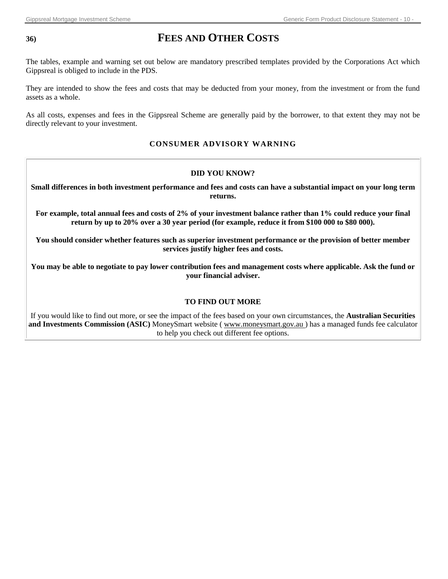# **36) FEES AND OTHER COSTS**

The tables, example and warning set out below are mandatory prescribed templates provided by the Corporations Act which Gippsreal is obliged to include in the PDS.

They are intended to show the fees and costs that may be deducted from your money, from the investment or from the fund assets as a whole.

As all costs, expenses and fees in the Gippsreal Scheme are generally paid by the borrower, to that extent they may not be directly relevant to your investment.

#### **CONSUMER ADVISORY WARNING**

#### **DID YOU KNOW?**

**Small differences in both investment performance and fees and costs can have a substantial impact on your long term returns.** 

**For example, total annual fees and costs of 2% of your investment balance rather than 1% could reduce your final return by up to 20% over a 30 year period (for example, reduce it from \$100 000 to \$80 000).** 

**You should consider whether features such as superior investment performance or the provision of better member services justify higher fees and costs.** 

**You may be able to negotiate to pay lower contribution fees and management costs where applicable. Ask the fund or your financial adviser.** 

#### **TO FIND OUT MORE**

If you would like to find out more, or see the impact of the fees based on your own circumstances, the **Australian Securities and Investments Commission (ASIC)** MoneySmart website ( www.moneysmart.gov.au ) has a managed funds fee calculator to help you check out different fee options.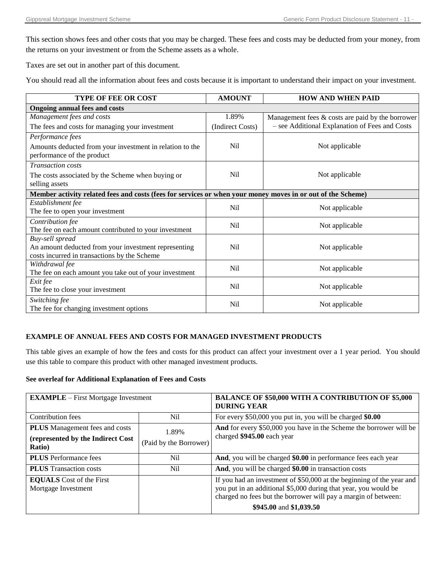This section shows fees and other costs that you may be charged. These fees and costs may be deducted from your money, from the returns on your investment or from the Scheme assets as a whole.

Taxes are set out in another part of this document.

You should read all the information about fees and costs because it is important to understand their impact on your investment.

| <b>TYPE OF FEE OR COST</b>                                                                                  | <b>AMOUNT</b>    | <b>HOW AND WHEN PAID</b>                            |
|-------------------------------------------------------------------------------------------------------------|------------------|-----------------------------------------------------|
| <b>Ongoing annual fees and costs</b>                                                                        |                  |                                                     |
| Management fees and costs                                                                                   | 1.89%            | Management fees $\&$ costs are paid by the borrower |
| The fees and costs for managing your investment                                                             | (Indirect Costs) | - see Additional Explanation of Fees and Costs      |
| Performance fees                                                                                            |                  |                                                     |
| Amounts deducted from your investment in relation to the<br>performance of the product                      | <b>Nil</b>       | Not applicable                                      |
| <b>Transaction</b> costs                                                                                    |                  |                                                     |
| The costs associated by the Scheme when buying or<br>selling assets                                         | Nil              | Not applicable                                      |
| Member activity related fees and costs (fees for services or when your money moves in or out of the Scheme) |                  |                                                     |
| Establishment fee                                                                                           | N <sub>il</sub>  | Not applicable                                      |
| The fee to open your investment                                                                             |                  |                                                     |
| Contribution fee                                                                                            | Nil              | Not applicable                                      |
| The fee on each amount contributed to your investment                                                       |                  |                                                     |
| Buy-sell spread                                                                                             | N <sub>i</sub>   |                                                     |
| An amount deducted from your investment representing<br>costs incurred in transactions by the Scheme        |                  | Not applicable                                      |
| Withdrawal fee                                                                                              |                  |                                                     |
| The fee on each amount you take out of your investment                                                      | Nil              | Not applicable                                      |
| Exit fee                                                                                                    |                  |                                                     |
| The fee to close your investment                                                                            | Nil              | Not applicable                                      |
| Switching fee                                                                                               | <b>Nil</b>       | Not applicable                                      |
| The fee for changing investment options                                                                     |                  |                                                     |

#### **EXAMPLE OF ANNUAL FEES AND COSTS FOR MANAGED INVESTMENT PRODUCTS**

This table gives an example of how the fees and costs for this product can affect your investment over a 1 year period. You should use this table to compare this product with other managed investment products.

#### **See overleaf for Additional Explanation of Fees and Costs**

| <b>EXAMPLE</b> – First Mortgage Investment             |                        | <b>BALANCE OF \$50,000 WITH A CONTRIBUTION OF \$5,000</b><br><b>DURING YEAR</b>                                                                                                                                                       |
|--------------------------------------------------------|------------------------|---------------------------------------------------------------------------------------------------------------------------------------------------------------------------------------------------------------------------------------|
| Contribution fees                                      | Nil.                   | For every \$50,000 you put in, you will be charged \$0.00                                                                                                                                                                             |
| <b>PLUS</b> Management fees and costs                  | 1.89%                  | And for every \$50,000 you have in the Scheme the borrower will be                                                                                                                                                                    |
| (represented by the Indirect Cost<br><b>Ratio</b> )    | (Paid by the Borrower) | charged \$945.00 each year                                                                                                                                                                                                            |
| <b>PLUS</b> Performance fees                           | Nil                    | And, you will be charged \$0.00 in performance fees each year                                                                                                                                                                         |
| <b>PLUS</b> Transaction costs                          | Nil                    | And, you will be charged \$0.00 in transaction costs                                                                                                                                                                                  |
| <b>EQUALS</b> Cost of the First<br>Mortgage Investment |                        | If you had an investment of \$50,000 at the beginning of the year and<br>you put in an additional \$5,000 during that year, you would be<br>charged no fees but the borrower will pay a margin of between:<br>\$945.00 and \$1,039.50 |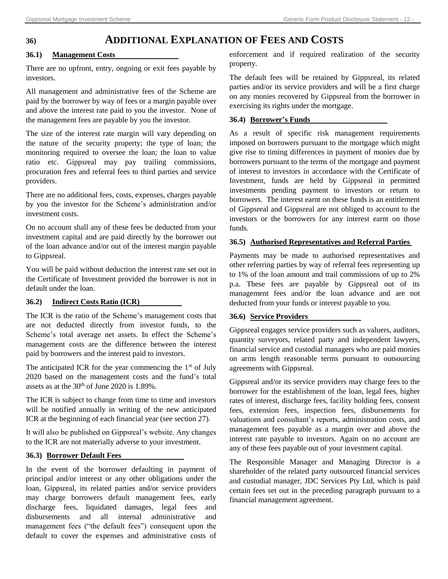# **36) ADDITIONAL EXPLANATION OF FEES AND COSTS**

#### **36.1) Management Costs**

There are no upfront, entry, ongoing or exit fees payable by investors.

All management and administrative fees of the Scheme are paid by the borrower by way of fees or a margin payable over and above the interest rate paid to you the investor. None of the management fees are payable by you the investor.

The size of the interest rate margin will vary depending on the nature of the security property; the type of loan; the monitoring required to oversee the loan; the loan to value ratio etc. Gippsreal may pay trailing commissions, procuration fees and referral fees to third parties and service providers.

There are no additional fees, costs, expenses, charges payable by you the investor for the Scheme's administration and/or investment costs.

On no account shall any of these fees be deducted from your investment capital and are paid directly by the borrower out of the loan advance and/or out of the interest margin payable to Gippsreal.

You will be paid without deduction the interest rate set out in the Certificate of Investment provided the borrower is not in default under the loan.

### **36.2) Indirect Costs Ratio (ICR)**

The ICR is the ratio of the Scheme's management costs that are not deducted directly from investor funds, to the Scheme's total average net assets. In effect the Scheme's management costs are the difference between the interest paid by borrowers and the interest paid to investors.

The anticipated ICR for the year commencing the  $1<sup>st</sup>$  of July 2020 based on the management costs and the fund's total assets as at the  $30<sup>th</sup>$  of June 2020 is 1.89%.

The ICR is subject to change from time to time and investors will be notified annually in writing of the new anticipated ICR at the beginning of each financial year (see section 27).

It will also be published on Gippsreal's website. Any changes to the ICR are not materially adverse to your investment.

#### **36.3) Borrower Default Fees**

In the event of the borrower defaulting in payment of principal and/or interest or any other obligations under the loan, Gippsreal, its related parties and/or service providers may charge borrowers default management fees, early discharge fees, liquidated damages, legal fees and disbursements and all internal administrative and management fees ("the default fees") consequent upon the default to cover the expenses and administrative costs of enforcement and if required realization of the security property.

The default fees will be retained by Gippsreal, its related parties and/or its service providers and will be a first charge on any monies recovered by Gippsreal from the borrower in exercising its rights under the mortgage.

#### **36.4) Borrower's Funds**

As a result of specific risk management requirements imposed on borrowers pursuant to the mortgage which might give rise to timing differences in payment of monies due by borrowers pursuant to the terms of the mortgage and payment of interest to investors in accordance with the Certificate of Investment, funds are held by Gippsreal in permitted investments pending payment to investors or return to borrowers. The interest earnt on these funds is an entitlement of Gippsreal and Gippsreal are not obliged to account to the investors or the borrowers for any interest earnt on those funds.

#### **36.5) Authorised Representatives and Referral Parties**

Payments may be made to authorised representatives and other referring parties by way of referral fees representing up to 1% of the loan amount and trail commissions of up to 2% p.a. These fees are payable by Gippsreal out of its management fees and/or the loan advance and are not deducted from your funds or interest payable to you.

#### **36.6) Service Providers**

Gippsreal engages service providers such as valuers, auditors, quantity surveyors, related party and independent lawyers, financial service and custodial managers who are paid monies on arms length reasonable terms pursuant to outsourcing agreements with Gippsreal.

Gippsreal and/or its service providers may charge fees to the borrower for the establishment of the loan, legal fees, higher rates of interest, discharge fees, facility holding fees, consent fees, extension fees, inspection fees, disbursements for valuations and consultant's reports, administration costs, and management fees payable as a margin over and above the interest rate payable to investors. Again on no account are any of these fees payable out of your investment capital.

The Responsible Manager and Managing Director is a shareholder of the related party outsourced financial services and custodial manager, JDC Services Pty Ltd, which is paid certain fees set out in the preceding paragraph pursuant to a financial management agreement.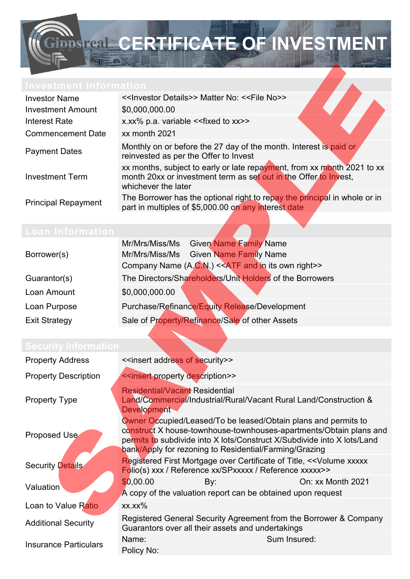

| <b>Investor Name</b>       | << Investor Details>> Matter No: << File No<>>                                                                                                                     |  |  |
|----------------------------|--------------------------------------------------------------------------------------------------------------------------------------------------------------------|--|--|
| <b>Investment Amount</b>   | \$0,000,000.00                                                                                                                                                     |  |  |
| <b>Interest Rate</b>       | x.xx% p.a. variable << fixed to xx>>                                                                                                                               |  |  |
| <b>Commencement Date</b>   | xx month 2021                                                                                                                                                      |  |  |
| <b>Payment Dates</b>       | Monthly on or before the 27 day of the month. Interest is paid or<br>reinvested as per the Offer to Invest                                                         |  |  |
| <b>Investment Term</b>     | xx months, subject to early or late repayment, from xx month 2021 to xx<br>month 20xx or investment term as set out in the Offer to Invest,<br>whichever the later |  |  |
| <b>Principal Repayment</b> | The Borrower has the optional right to repay the principal in whole or in<br>part in multiples of \$5,000.00 on any interest date                                  |  |  |

|                      | Mr/Mrs/Miss/Ms Given Name Family Name                    |
|----------------------|----------------------------------------------------------|
| Borrower(s)          | Mr/Mrs/Miss/Ms Given Name Family Name                    |
|                      | Company Name (A.C.N.) << ATF and in its own right>>      |
| Guarantor(s)         | The Directors/Shareholders/Unit Holders of the Borrowers |
| Loan Amount          | \$0,000,000.00                                           |
| Loan Purpose         | Purchase/Refinance/Equity Release/Development            |
| <b>Exit Strategy</b> | Sale of Property/Refinance/Sale of other Assets          |
|                      |                                                          |

| <b>Property Address</b>      | < <insert address="" of="" security="">&gt;</insert>                                                                                                                                                                                                                      |     |                                                                                  |
|------------------------------|---------------------------------------------------------------------------------------------------------------------------------------------------------------------------------------------------------------------------------------------------------------------------|-----|----------------------------------------------------------------------------------|
| <b>Property Description</b>  | < <insert description="" property="">&gt;</insert>                                                                                                                                                                                                                        |     |                                                                                  |
| <b>Property Type</b>         | <b>Residential/Vacant Residential</b><br>Land/Commercial/Industrial/Rural/Vacant Rural Land/Construction &<br><b>Development</b>                                                                                                                                          |     |                                                                                  |
| Proposed Use                 | Owner Occupied/Leased/To be leased/Obtain plans and permits to<br>construct X house-townhouse-townhouses-apartments/Obtain plans and<br>permits to subdivide into X lots/Construct X/Subdivide into X lots/Land<br>bank/Apply for rezoning to Residential/Farming/Grazing |     |                                                                                  |
| <b>Security Details</b>      | Registered First Mortgage over Certificate of Title, << Volume xxxxx<br>Folio(s) xxx / Reference xx/SPxxxxx / Reference xxxxx>>                                                                                                                                           |     |                                                                                  |
| Valuation                    | \$0,00.00                                                                                                                                                                                                                                                                 | By: | On: xx Month 2021<br>A copy of the valuation report can be obtained upon request |
| Loan to Value Ratio          | $XX.XX\%$                                                                                                                                                                                                                                                                 |     |                                                                                  |
| <b>Additional Security</b>   | Registered General Security Agreement from the Borrower & Company<br>Guarantors over all their assets and undertakings                                                                                                                                                    |     |                                                                                  |
| <b>Insurance Particulars</b> | Name:<br>Policy No:                                                                                                                                                                                                                                                       |     | Sum Insured:                                                                     |